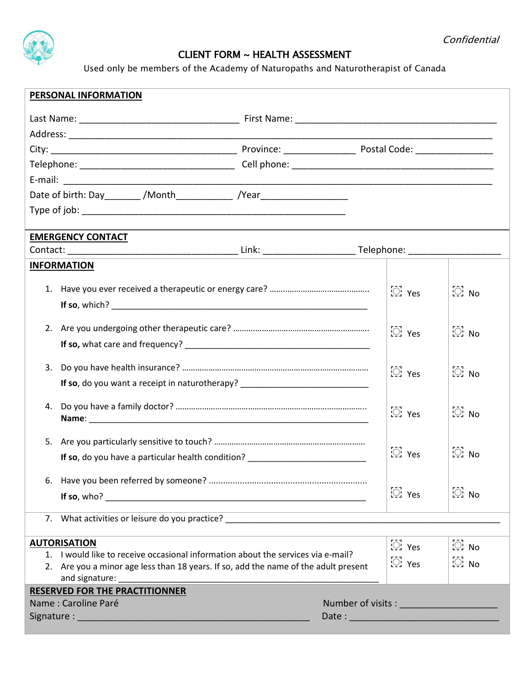

## CLIENT FORM ~ HEALTH ASSESSMENT

Used only be members of the Academy of Naturopaths and Naturotherapist of Canada

| <b>PERSONAL INFORMATION</b>                                                                           |                                                                                  |                 |                   |                 |  |  |
|-------------------------------------------------------------------------------------------------------|----------------------------------------------------------------------------------|-----------------|-------------------|-----------------|--|--|
|                                                                                                       |                                                                                  |                 |                   |                 |  |  |
|                                                                                                       |                                                                                  |                 |                   |                 |  |  |
|                                                                                                       |                                                                                  |                 |                   |                 |  |  |
|                                                                                                       |                                                                                  |                 |                   |                 |  |  |
|                                                                                                       |                                                                                  |                 |                   |                 |  |  |
| Date of birth: Day ________ /Month _____________ /Year _________________________                      |                                                                                  |                 |                   |                 |  |  |
|                                                                                                       |                                                                                  |                 |                   |                 |  |  |
|                                                                                                       |                                                                                  |                 |                   |                 |  |  |
| <b>EMERGENCY CONTACT</b>                                                                              |                                                                                  |                 |                   |                 |  |  |
|                                                                                                       |                                                                                  |                 |                   |                 |  |  |
| <b>INFORMATION</b>                                                                                    |                                                                                  |                 |                   |                 |  |  |
|                                                                                                       |                                                                                  |                 | $\odot$ Yes       | ○ No            |  |  |
|                                                                                                       |                                                                                  |                 |                   |                 |  |  |
|                                                                                                       |                                                                                  |                 |                   |                 |  |  |
| 2.                                                                                                    | $\boxtimes$ Yes                                                                  | $\odot$ No      |                   |                 |  |  |
|                                                                                                       |                                                                                  |                 |                   |                 |  |  |
| 3.                                                                                                    |                                                                                  |                 |                   |                 |  |  |
|                                                                                                       |                                                                                  | $\boxdot$ Yes   | $\mathbb{Z}$ . No |                 |  |  |
| If so, do you want a receipt in naturotherapy? _________________________________                      |                                                                                  |                 |                   |                 |  |  |
| 4.                                                                                                    |                                                                                  |                 | □ Yes             | $\mathbb{Z}$ No |  |  |
|                                                                                                       |                                                                                  |                 |                   |                 |  |  |
| 5.                                                                                                    |                                                                                  |                 |                   |                 |  |  |
| If so, do you have a particular health condition? ______________________________                      | □ Yes                                                                            | $\mathbb{Z}$ No |                   |                 |  |  |
|                                                                                                       |                                                                                  |                 |                   |                 |  |  |
|                                                                                                       |                                                                                  |                 |                   |                 |  |  |
|                                                                                                       |                                                                                  |                 | <b>② Yes</b>      | $\mathbb{Z}$ No |  |  |
| 7. What activities or leisure do you practice?                                                        |                                                                                  |                 |                   |                 |  |  |
|                                                                                                       |                                                                                  |                 |                   |                 |  |  |
| <b>AUTORISATION</b>                                                                                   |                                                                                  |                 | ි: Yes            | $\mathbb{C}$ No |  |  |
|                                                                                                       | 1. I would like to receive occasional information about the services via e-mail? |                 |                   |                 |  |  |
| 2. Are you a minor age less than 18 years. If so, add the name of the adult present<br>and signature: |                                                                                  |                 | ි: Yes            | $\odot$ No      |  |  |
| <b>RESERVED FOR THE PRACTITIONNER</b>                                                                 |                                                                                  |                 |                   |                 |  |  |
| Name: Caroline Paré<br>Number of visits : ______________________                                      |                                                                                  |                 |                   |                 |  |  |
|                                                                                                       |                                                                                  |                 |                   |                 |  |  |